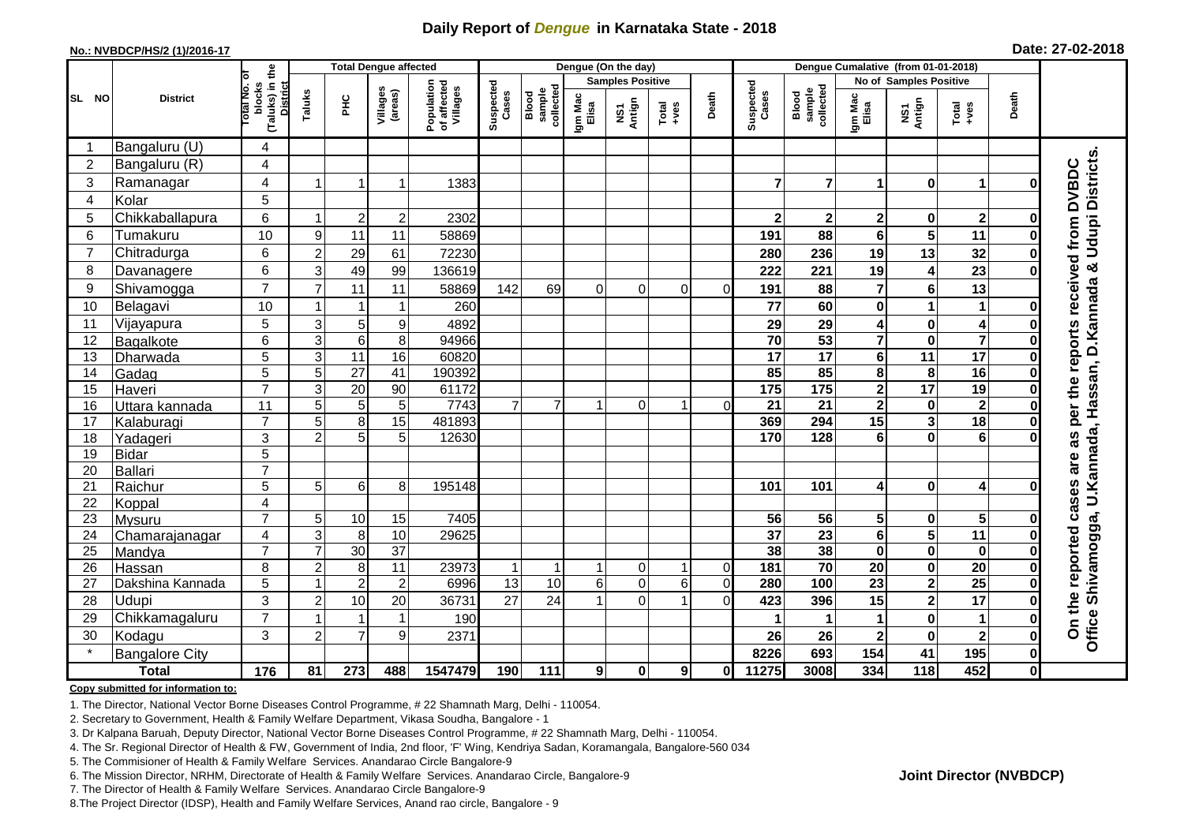## **Daily Report of** *Dengue* **in Karnataka State - 2018**

#### **No.: NVBDCP/HS/2 (1)/2016-17**

|  | Date: 27-02-2018 |  |
|--|------------------|--|
|--|------------------|--|

|                |                       |                                                             |                |                 | <b>Total Dengue affected</b> |                                       |                    |                              |                  | Dengue (On the day)     |                   |                |                    |                              |                         |                         |                         |              |                                                                              |
|----------------|-----------------------|-------------------------------------------------------------|----------------|-----------------|------------------------------|---------------------------------------|--------------------|------------------------------|------------------|-------------------------|-------------------|----------------|--------------------|------------------------------|-------------------------|-------------------------|-------------------------|--------------|------------------------------------------------------------------------------|
|                | <b>District</b>       |                                                             |                |                 |                              |                                       |                    |                              |                  | <b>Samples Positive</b> |                   |                |                    |                              | No of Samples Positive  |                         |                         |              |                                                                              |
| SL NO          |                       | (Taluks) in the<br>otal No. of<br>blocks<br><b>District</b> | Taluks         | <b>PHC</b>      | Villages<br>(areas)          | Population<br>of affected<br>Villages | Suspected<br>Cases | collected<br>sample<br>Blood | Igm Mac<br>Elisa | Antign<br>Σń            | Total<br>$+ve$ es | Death          | Suspected<br>Cases | Blood<br>sample<br>collected | Igm Mac<br>Elisa        | NS1<br>Antign           | Total<br>+ves           | Death        |                                                                              |
|                | Bangaluru (U)         | 4                                                           |                |                 |                              |                                       |                    |                              |                  |                         |                   |                |                    |                              |                         |                         |                         |              |                                                                              |
| $\overline{c}$ | Bangaluru (R)         | 4                                                           |                |                 |                              |                                       |                    |                              |                  |                         |                   |                |                    |                              |                         |                         |                         |              |                                                                              |
| 3              | Ramanagar             | 4                                                           |                |                 | 1                            | 1383                                  |                    |                              |                  |                         |                   |                | $\overline{7}$     | $\overline{7}$               | 1                       | $\mathbf 0$             | 1                       |              | <b>DVBDC</b>                                                                 |
| $\overline{4}$ | Kolar                 | 5                                                           |                |                 |                              |                                       |                    |                              |                  |                         |                   |                |                    |                              |                         |                         |                         |              |                                                                              |
| 5              | Chikkaballapura       | 6                                                           |                | $\overline{c}$  | 2                            | 2302                                  |                    |                              |                  |                         |                   |                | $\mathbf{2}$       | $\mathbf 2$                  | $\mathbf 2$             | 0                       | $\mathbf{2}$            |              |                                                                              |
| 6              | Tumakuru              | 10                                                          | 9              | 11              | 11                           | 58869                                 |                    |                              |                  |                         |                   |                | 191                | 88                           | $6\phantom{1}$          | 5                       | 11                      |              |                                                                              |
| 7              | Chitradurga           | 6                                                           | $\overline{2}$ | 29              | 61                           | 72230                                 |                    |                              |                  |                         |                   |                | 280                | 236                          | 19                      | 13                      | 32                      |              | received from                                                                |
| 8              | Davanagere            | 6                                                           | 3              | 49              | 99                           | 136619                                |                    |                              |                  |                         |                   |                | 222                | 221                          | 19                      | 4                       | $\overline{23}$         |              |                                                                              |
| 9              | Shivamogga            | $\overline{7}$                                              |                | 11              | 11                           | 58869                                 | 142                | 69                           | $\Omega$         | $\Omega$                | $\Omega$          | $\Omega$       | 191                | 88                           | $\overline{7}$          | 6                       | 13                      |              |                                                                              |
| 10             | Belagavi              | 10                                                          |                |                 | 1                            | 260                                   |                    |                              |                  |                         |                   |                | 77                 | 60                           | $\mathbf 0$             | 1                       | 1                       |              |                                                                              |
| 11             | Vijayapura            | 5                                                           | 3              | 5               | 9                            | 4892                                  |                    |                              |                  |                         |                   |                | 29                 | 29                           | 4                       | $\mathbf 0$             | 4                       |              |                                                                              |
| 12             | Bagalkote             | 6                                                           | 3              | $6 \mid$        | 8                            | 94966                                 |                    |                              |                  |                         |                   |                | 70                 | $\overline{53}$              | $\overline{7}$          | $\mathbf 0$             | $\overline{7}$          | O            |                                                                              |
| 13             | Dharwada              | $\overline{5}$                                              | 3              | 11              | 16                           | 60820                                 |                    |                              |                  |                         |                   |                | $\overline{17}$    | $\overline{17}$              | $\overline{\mathbf{6}}$ | $\overline{11}$         | $\overline{17}$         | $\bf{0}$     | per the reports                                                              |
| 14             | Gadag                 | 5                                                           | 5              | $\overline{27}$ | $\overline{41}$              | 190392                                |                    |                              |                  |                         |                   |                | 85                 | 85                           | $\overline{\mathbf{8}}$ | 8                       | 16                      | $\bf{0}$     |                                                                              |
| 15             | Haveri                | $\overline{7}$                                              | 3              | 20              | 90                           | 61172                                 |                    |                              |                  |                         |                   |                | 175                | 175                          | $\mathbf{2}$            | 17                      | 19                      | 0            |                                                                              |
| 16             | Uttara kannada        | 11                                                          | 5              | 5               | 5                            | 7743                                  | $\overline{7}$     | $\overline{7}$               |                  | $\Omega$                |                   | $\Omega$       | $\overline{21}$    | 21                           | $\overline{2}$          | $\mathbf 0$             | $\overline{\mathbf{2}}$ | O            |                                                                              |
| 17             | Kalaburagi            | $\overline{7}$                                              | 5              | 8 <sup>1</sup>  | 15                           | 481893                                |                    |                              |                  |                         |                   |                | 369                | 294                          | $\overline{15}$         | 3                       | $\overline{18}$         | $\bf{0}$     |                                                                              |
| 18             | Yadageri              | 3                                                           | $\overline{2}$ | 5               | 5                            | 12630                                 |                    |                              |                  |                         |                   |                | 170                | 128                          | $6\phantom{1}$          | $\mathbf 0$             | 6                       |              | as                                                                           |
| 19             | <b>Bidar</b>          | 5                                                           |                |                 |                              |                                       |                    |                              |                  |                         |                   |                |                    |                              |                         |                         |                         |              |                                                                              |
| 20             | Ballari               | $\overline{7}$                                              |                |                 |                              |                                       |                    |                              |                  |                         |                   |                |                    |                              |                         |                         |                         |              | are                                                                          |
| 21             | Raichur               | 5                                                           | 5              | 6               | 8                            | 195148                                |                    |                              |                  |                         |                   |                | 101                | 101                          | 4                       | $\mathbf 0$             | 4                       |              |                                                                              |
| 22             | Koppal                | 4                                                           |                |                 |                              |                                       |                    |                              |                  |                         |                   |                |                    |                              |                         |                         |                         |              | cases                                                                        |
| 23             | Mysuru                | $\overline{7}$                                              | 5              | 10              | 15                           | 7405                                  |                    |                              |                  |                         |                   |                | 56                 | 56                           | 5                       | $\mathbf 0$             | 5                       |              |                                                                              |
| 24             | Chamarajanagar        | 4                                                           | 3              | 8               | $\overline{10}$              | 29625                                 |                    |                              |                  |                         |                   |                | $\overline{37}$    | $\overline{23}$              | $\overline{\mathbf{6}}$ | $5\phantom{1}$          | 11                      |              | reported                                                                     |
| 25             | Mandya                | $\overline{7}$                                              |                | 30              | $\overline{37}$              |                                       |                    |                              |                  |                         |                   |                | 38                 | 38                           | $\overline{\mathbf{0}}$ | $\mathbf 0$             | $\mathbf 0$             |              |                                                                              |
| 26             | <b>Hassan</b>         | 8                                                           | $\overline{2}$ | 8               | $\overline{11}$              | 23973                                 | $\mathbf 1$        | $\mathbf 1$                  |                  | 0                       |                   | $\Omega$       | 181                | $\overline{70}$              | 20                      | $\mathbf 0$             | 20                      |              |                                                                              |
| 27             | Dakshina Kannada      | 5                                                           | $\overline{1}$ | $\overline{2}$  | $\overline{2}$               | 6996                                  | $\overline{13}$    | $\overline{10}$              | $6\phantom{1}$   | $\mathbf 0$             | 6                 | $\overline{0}$ | 280                | 100                          | $\overline{23}$         | $\overline{\mathbf{2}}$ | $\overline{25}$         | $\Omega$     |                                                                              |
| 28             | <b>Udupi</b>          | 3                                                           | $\overline{2}$ | 10              | 20                           | 36731                                 | 27                 | 24                           |                  | $\mathbf 0$             |                   | $\Omega$       | 423                | 396                          | 15                      | $\overline{\mathbf{2}}$ | 17                      |              |                                                                              |
| 29             | Chikkamagaluru        | $\overline{7}$                                              |                |                 | 1                            | 190                                   |                    |                              |                  |                         |                   |                |                    | 1                            | $\mathbf 1$             | $\bf{0}$                | 1                       | 0            | Office Shivamogga, U.Kannada, Hassan, D.Kannada & Udupi Districts.<br>On the |
| 30             | Kodagu                | 3                                                           | $\overline{2}$ | $\overline{7}$  | 9                            | 2371                                  |                    |                              |                  |                         |                   |                | 26                 | 26                           | $\overline{\mathbf{2}}$ | $\mathbf 0$             | $\overline{2}$          | 0            |                                                                              |
| $\star$        | <b>Bangalore City</b> |                                                             |                |                 |                              |                                       |                    |                              |                  |                         |                   |                | 8226               | 693                          | 154                     | 41                      | 195                     | $\mathbf 0$  |                                                                              |
|                | <b>Total</b>          | $\frac{1}{176}$                                             | 81             | 273             | 488                          | 1547479                               | 190                | 111                          | 9 <sub>l</sub>   | $\mathbf 0$             | 9                 | $\mathbf{0}$   | 11275              | 3008                         | 334                     | 118                     | 452                     | $\mathbf{0}$ |                                                                              |

#### **Copy submitted for information to:**

1. The Director, National Vector Borne Diseases Control Programme, # 22 Shamnath Marg, Delhi - 110054.

2. Secretary to Government, Health & Family Welfare Department, Vikasa Soudha, Bangalore - 1

3. Dr Kalpana Baruah, Deputy Director, National Vector Borne Diseases Control Programme, # 22 Shamnath Marg, Delhi - 110054.

4. The Sr. Regional Director of Health & FW, Government of India, 2nd floor, 'F' Wing, Kendriya Sadan, Koramangala, Bangalore-560 034

5. The Commisioner of Health & Family Welfare Services. Anandarao Circle Bangalore-9

6. The Mission Director, NRHM, Directorate of Health & Family Welfare Services. Anandarao Circle, Bangalore-9

7. The Director of Health & Family Welfare Services. Anandarao Circle Bangalore-9

8.The Project Director (IDSP), Health and Family Welfare Services, Anand rao circle, Bangalore - 9